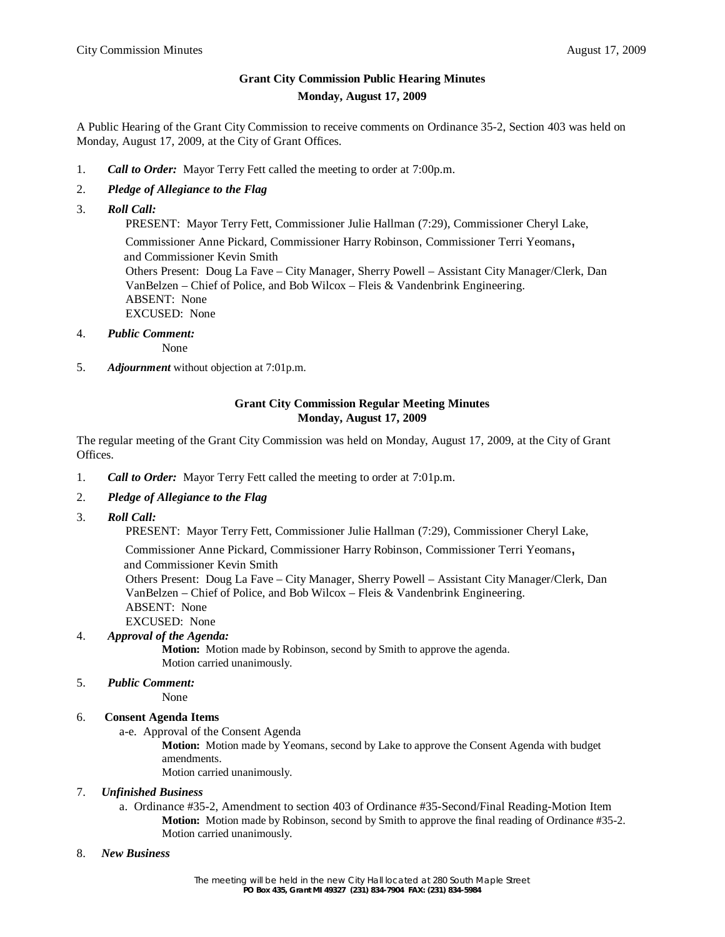# **Grant City Commission Public Hearing Minutes Monday, August 17, 2009**

A Public Hearing of the Grant City Commission to receive comments on Ordinance 35-2, Section 403 was held on Monday, August 17, 2009, at the City of Grant Offices.

- 1. *Call to Order:* Mayor Terry Fett called the meeting to order at 7:00p.m.
- 2. *Pledge of Allegiance to the Flag*
- 3. *Roll Call:*

PRESENT: Mayor Terry Fett, Commissioner Julie Hallman (7:29), Commissioner Cheryl Lake,

Commissioner Anne Pickard, Commissioner Harry Robinson, Commissioner Terri Yeomans, and Commissioner Kevin Smith Others Present: Doug La Fave – City Manager, Sherry Powell – Assistant City Manager/Clerk, Dan VanBelzen – Chief of Police, and Bob Wilcox – Fleis & Vandenbrink Engineering. ABSENT: None EXCUSED: None

4. *Public Comment:*

None

5. *Adjournment* without objection at 7:01p.m.

### **Grant City Commission Regular Meeting Minutes Monday, August 17, 2009**

The regular meeting of the Grant City Commission was held on Monday, August 17, 2009, at the City of Grant Offices.

- 1. *Call to Order:* Mayor Terry Fett called the meeting to order at 7:01p.m.
- 2. *Pledge of Allegiance to the Flag*
- 3. *Roll Call:*

PRESENT: Mayor Terry Fett, Commissioner Julie Hallman (7:29), Commissioner Cheryl Lake,

 Commissioner Anne Pickard, Commissioner Harry Robinson, Commissioner Terri Yeomans, and Commissioner Kevin Smith

 Others Present: Doug La Fave – City Manager, Sherry Powell – Assistant City Manager/Clerk, Dan VanBelzen – Chief of Police, and Bob Wilcox – Fleis & Vandenbrink Engineering. ABSENT: None EXCUSED: None

# 4. *Approval of the Agenda:*

**Motion:** Motion made by Robinson, second by Smith to approve the agenda. Motion carried unanimously.

5. *Public Comment:*

None

#### 6. **Consent Agenda Items**

a-e. Approval of the Consent Agenda

**Motion:** Motion made by Yeomans, second by Lake to approve the Consent Agenda with budget amendments.

Motion carried unanimously.

#### 7. *Unfinished Business*

- a. Ordinance #35-2, Amendment to section 403 of Ordinance #35-Second/Final Reading-Motion Item **Motion:** Motion made by Robinson, second by Smith to approve the final reading of Ordinance #35-2. Motion carried unanimously.
- 8. *New Business*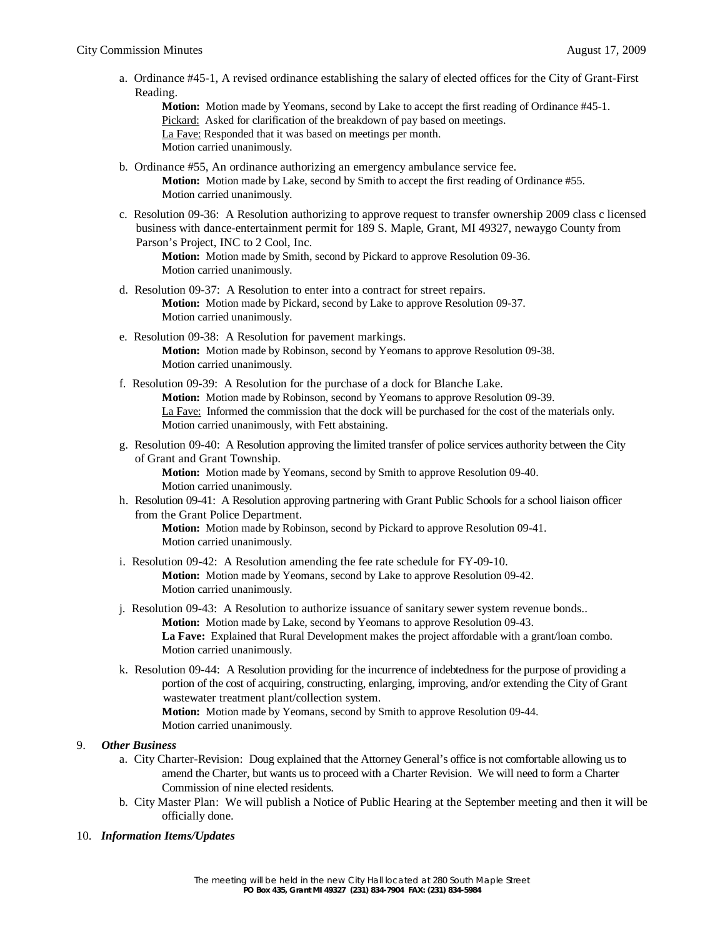a. Ordinance #45-1, A revised ordinance establishing the salary of elected offices for the City of Grant-First Reading.

**Motion:** Motion made by Yeomans, second by Lake to accept the first reading of Ordinance #45-1. Pickard: Asked for clarification of the breakdown of pay based on meetings. La Fave: Responded that it was based on meetings per month. Motion carried unanimously.

- b. Ordinance #55, An ordinance authorizing an emergency ambulance service fee. **Motion:** Motion made by Lake, second by Smith to accept the first reading of Ordinance #55. Motion carried unanimously.
- c. Resolution 09-36: A Resolution authorizing to approve request to transfer ownership 2009 class c licensed business with dance-entertainment permit for 189 S. Maple, Grant, MI 49327, newaygo County from Parson's Project, INC to 2 Cool, Inc.

**Motion:** Motion made by Smith, second by Pickard to approve Resolution 09-36. Motion carried unanimously.

- d. Resolution 09-37: A Resolution to enter into a contract for street repairs. **Motion:** Motion made by Pickard, second by Lake to approve Resolution 09-37. Motion carried unanimously.
- e. Resolution 09-38: A Resolution for pavement markings. **Motion:** Motion made by Robinson, second by Yeomans to approve Resolution 09-38. Motion carried unanimously.
- f. Resolution 09-39: A Resolution for the purchase of a dock for Blanche Lake. **Motion:** Motion made by Robinson, second by Yeomans to approve Resolution 09-39. La Fave: Informed the commission that the dock will be purchased for the cost of the materials only. Motion carried unanimously, with Fett abstaining.
- g. Resolution 09-40: A Resolution approving the limited transfer of police services authority between the City of Grant and Grant Township.

**Motion:** Motion made by Yeomans, second by Smith to approve Resolution 09-40. Motion carried unanimously.

h. Resolution 09-41: A Resolution approving partnering with Grant Public Schools for a school liaison officer from the Grant Police Department.

**Motion:** Motion made by Robinson, second by Pickard to approve Resolution 09-41. Motion carried unanimously.

- i. Resolution 09-42: A Resolution amending the fee rate schedule for FY-09-10. **Motion:** Motion made by Yeomans, second by Lake to approve Resolution 09-42. Motion carried unanimously.
- j. Resolution 09-43: A Resolution to authorize issuance of sanitary sewer system revenue bonds.. **Motion:** Motion made by Lake, second by Yeomans to approve Resolution 09-43. **La Fave:** Explained that Rural Development makes the project affordable with a grant/loan combo. Motion carried unanimously.
- k. Resolution 09-44: A Resolution providing for the incurrence of indebtedness for the purpose of providing a portion of the cost of acquiring, constructing, enlarging, improving, and/or extending the City of Grant wastewater treatment plant/collection system.

**Motion:** Motion made by Yeomans, second by Smith to approve Resolution 09-44. Motion carried unanimously.

- 9. *Other Business*
	- a. City Charter-Revision: Doug explained that the Attorney General's office is not comfortable allowing us to amend the Charter, but wants us to proceed with a Charter Revision. We will need to form a Charter Commission of nine elected residents.
	- b. City Master Plan: We will publish a Notice of Public Hearing at the September meeting and then it will be officially done.

#### 10. *Information Items/Updates*